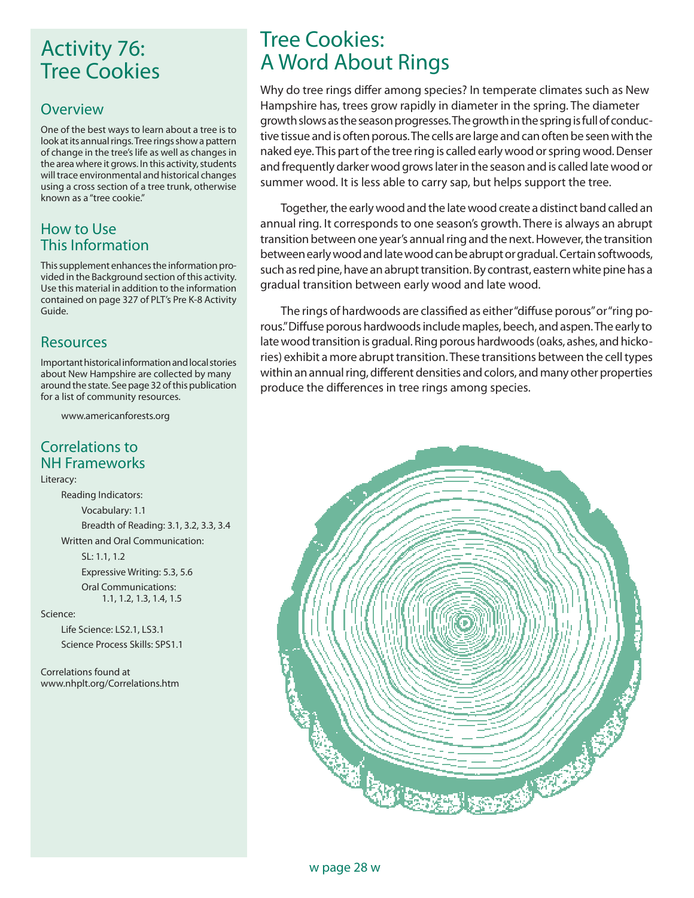# Activity 76: Tree Cookies

#### **Overview**

One of the best ways to learn about a tree is to look at its annual rings. Tree rings show a pattern of change in the tree's life as well as changes in the area where it grows. In this activity, students will trace environmental and historical changes using a cross section of a tree trunk, otherwise known as a "tree cookie."

#### How to Use This Information

This supplement enhances the information provided in the Background section of this activity. Use this material in addition to the information contained on page 327 of PLT's Pre K-8 Activity Guide.

## Resources

Important historical information and local stories about New Hampshire are collected by many around the state. See page 32 of this publication for a list of community resources.

www.americanforests.org

#### Correlations to NH Frameworks

Literacy:

 Reading Indicators: Vocabulary: 1.1 Breadth of Reading: 3.1, 3.2, 3.3, 3.4 Written and Oral Communication:

> SL: 1.1, 1.2 Expressive Writing: 5.3, 5.6 Oral Communications: 1.1, 1.2, 1.3, 1.4, 1.5

#### Science:

 Life Science: LS2.1, LS3.1 Science Process Skills: SPS1.1

Correlations found at www.nhplt.org/Correlations.htm

# Tree Cookies: A Word About Rings

Why do tree rings differ among species? In temperate climates such as New Hampshire has, trees grow rapidly in diameter in the spring. The diameter growth slows as the season progresses. The growth in the spring is full of conductive tissue and is often porous. The cells are large and can often be seen with the naked eye. This part of the tree ring is called early wood or spring wood. Denser and frequently darker wood grows later in the season and is called late wood or summer wood. It is less able to carry sap, but helps support the tree.

Together, the early wood and the late wood create a distinct band called an annual ring. It corresponds to one season's growth. There is always an abrupt transition between one year's annual ring and the next. However, the transition between early wood and late wood can be abrupt or gradual. Certain softwoods, such as red pine, have an abrupt transition. By contrast, eastern white pine has a gradual transition between early wood and late wood.

The rings of hardwoods are classified as either "diffuse porous" or "ring porous." Diffuse porous hardwoods include maples, beech, and aspen. The early to late wood transition is gradual. Ring porous hardwoods (oaks, ashes, and hickories) exhibit a more abrupt transition. These transitions between the cell types within an annual ring, different densities and colors, and many other properties produce the differences in tree rings among species.

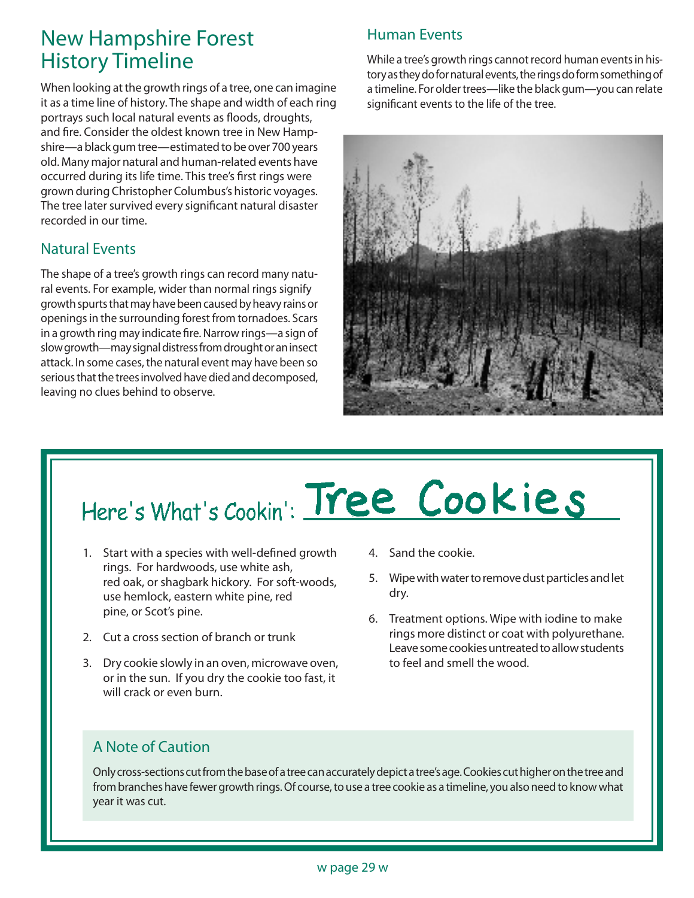# New Hampshire Forest History Timeline

When looking at the growth rings of a tree, one can imagine it as a time line of history. The shape and width of each ring portrays such local natural events as floods, droughts, and fire. Consider the oldest known tree in New Hampshire—a black gum tree—estimated to be over 700 years old. Many major natural and human-related events have occurred during its life time. This tree's first rings were grown during Christopher Columbus's historic voyages. The tree later survived every significant natural disaster recorded in our time.

## Natural Events

The shape of a tree's growth rings can record many natural events. For example, wider than normal rings signify growth spurts that may have been caused by heavy rains or openings in the surrounding forest from tornadoes. Scars in a growth ring may indicate fire. Narrow rings—a sign of slow growth—may signal distress from drought or an insect attack. In some cases, the natural event may have been so serious that the trees involved have died and decomposed, leaving no clues behind to observe.

## Human Events

While a tree's growth rings cannot record human events in history as they do for natural events, the rings do form something of a timeline. For older trees—like the black gum—you can relate significant events to the life of the tree.



# Here's What's Cookin': Tree Cookies

- 1. Start with a species with well-defined growth rings. For hardwoods, use white ash, red oak, or shagbark hickory. For soft-woods, use hemlock, eastern white pine, red pine, or Scot's pine.
- 2. Cut a cross section of branch or trunk
- 3. Dry cookie slowly in an oven, microwave oven, or in the sun. If you dry the cookie too fast, it will crack or even burn.
- 4. Sand the cookie.
- 5. Wipe with water to remove dust particles and let dry.
- 6. Treatment options. Wipe with iodine to make rings more distinct or coat with polyurethane. Leave some cookies untreated to allow students to feel and smell the wood.

#### A Note of Caution

Only cross-sections cut from the base of a tree can accurately depict a tree's age. Cookies cut higher on the tree and from branches have fewer growth rings. Of course, to use a tree cookie as a timeline, you also need to know what year it was cut.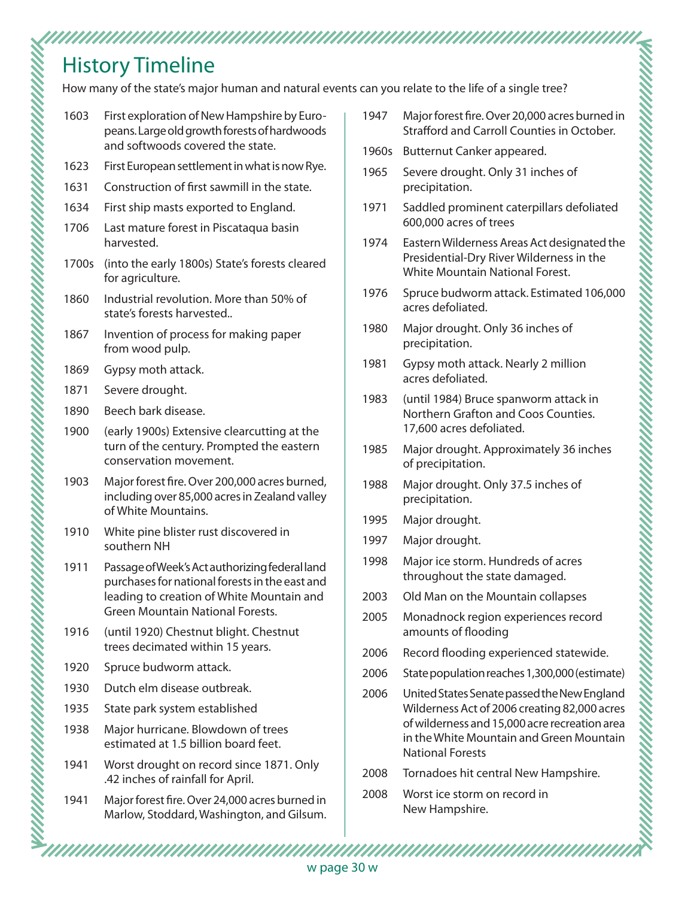# History Timeline

How many of the state's major human and natural events can you relate to the life of a single tree?

- 1603 First exploration of New Hampshire by Europeans. Large old growth forests of hardwoods and softwoods covered the state.
- 1623 First European settlement in what is now Rye.
- 1631 Construction of first sawmill in the state.
- 1634 First ship masts exported to England.
- 1706 Last mature forest in Piscataqua basin harvested.
- 1700s (into the early 1800s) State's forests cleared for agriculture.
- 1860 Industrial revolution. More than 50% of state's forests harvested..
- 1867 Invention of process for making paper from wood pulp.
- 1869 Gypsy moth attack.
- 1871 Severe drought.
- 1890 Beech bark disease.
- 1900 (early 1900s) Extensive clearcutting at the turn of the century. Prompted the eastern conservation movement.
- 1903 Major forest fire. Over 200,000 acres burned, including over 85,000 acres in Zealand valley of White Mountains.
- 1910 White pine blister rust discovered in southern NH
- 1911 Passage of Week's Act authorizing federal land purchases for national forests in the east and leading to creation of White Mountain and Green Mountain National Forests.
- 1916 (until 1920) Chestnut blight. Chestnut trees decimated within 15 years.
- 1920 Spruce budworm attack.
- 1930 Dutch elm disease outbreak.
- 1935 State park system established
- 1938 Major hurricane. Blowdown of trees estimated at 1.5 billion board feet.
- 1941 Worst drought on record since 1871. Only .42 inches of rainfall for April.
- 1941 Major forest fire. Over 24,000 acres burned in Marlow, Stoddard, Washington, and Gilsum.
- 1947 Major forest fire. Over 20,000 acres burned in Strafford and Carroll Counties in October.
- 1960s Butternut Canker appeared.
- 1965 Severe drought. Only 31 inches of precipitation.
- 1971 Saddled prominent caterpillars defoliated 600,000 acres of trees
- 1974 Eastern Wilderness Areas Act designated the Presidential-Dry River Wilderness in the White Mountain National Forest.
- 1976 Spruce budworm attack. Estimated 106,000 acres defoliated.
- 1980 Major drought. Only 36 inches of precipitation.
- 1981 Gypsy moth attack. Nearly 2 million acres defoliated.
- 1983 (until 1984) Bruce spanworm attack in Northern Grafton and Coos Counties. 17,600 acres defoliated.
- 1985 Major drought. Approximately 36 inches of precipitation.
- 1988 Major drought. Only 37.5 inches of precipitation.
- 1995 Major drought.
- 1997 Major drought.
- 1998 Major ice storm. Hundreds of acres throughout the state damaged.
- 2003 Old Man on the Mountain collapses
- 2005 Monadnock region experiences record amounts of flooding
- 2006 Record flooding experienced statewide.
- 2006 State population reaches 1,300,000 (estimate)
- 2006 United States Senate passed the New England Wilderness Act of 2006 creating 82,000 acres of wilderness and 15,000 acre recreation area in the White Mountain and Green Mountain National Forests
- 2008 Tornadoes hit central New Hampshire.
- 2008 Worst ice storm on record in New Hampshire.